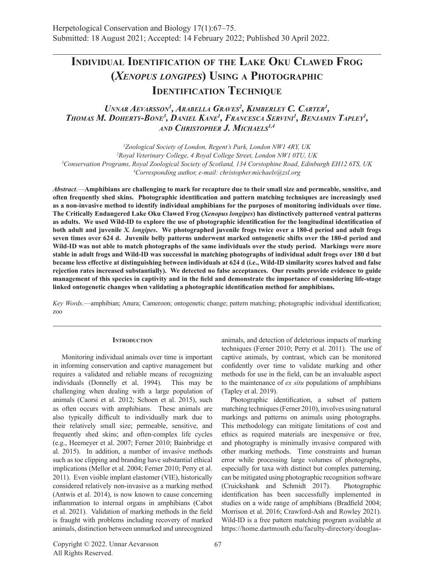# **Individual Identification of the Lake Oku Clawed Frog (***Xenopus longipes***) Using a Photographic Identification Technique**

# Unnar Aevarsson<sup>1</sup>, Arabella Graves<sup>2</sup>, Kimberley C. Carter<sup>1</sup>, *Thomas M. Doherty-Bone3 , Daniel Kane1 , Francesca Servini1 , Benjamin Tapley1 , and Christopher J. Michaels1,4*

 *Zoological Society of London, Regent's Park, London NW1 4RY, UK Royal Veterinary College, 4 Royal College Street, London NW1 0TU, UK Conservation Programs, Royal Zoological Society of Scotland, 134 Corstophine Road, Edinburgh EH12 6TS, UK Corresponding author, e-mail: christopher.michaels@zsl.org*

*Abstract*.—**Amphibians are challenging to mark for recapture due to their small size and permeable, sensitive, and often frequently shed skins. Photographic identification and pattern matching techniques are increasingly used as a non-invasive method to identify individual amphibians for the purposes of monitoring individuals over time. The Critically Endangered Lake Oku Clawed Frog (***Xenopus longipes***) has distinctively patterned ventral patterns as adults. We used Wild-ID to explore the use of photographic identification for the longitudinal identification of both adult and juvenile** *X. longipes***. We photographed juvenile frogs twice over a 180-d period and adult frogs seven times over 624 d. Juvenile belly patterns underwent marked ontogenetic shifts over the 180-d period and Wild-ID was not able to match photographs of the same individuals over the study period. Markings were more stable in adult frogs and Wild-ID was successful in matching photographs of individual adult frogs over 180 d but became less effective at distinguishing between individuals at 624 d (i.e., Wild-ID similarity scores halved and false rejection rates increased substantially). We detected no false acceptances. Our results provide evidence to guide management of this species in captivity and in the field and demonstrate the importance of considering life-stage linked ontogenetic changes when validating a photographic identification method for amphibians.**

*Key Words*.—amphibian; Anura; Cameroon; ontogenetic change; pattern matching; photographic individual identification; zoo

#### **INTRODUCTION**

Monitoring individual animals over time is important in informing conservation and captive management but requires a validated and reliable means of recognizing individuals (Donnelly et al. 1994). This may be challenging when dealing with a large population of animals (Caorsi et al. 2012; Schoen et al. 2015), such as often occurs with amphibians. These animals are also typically difficult to individually mark due to their relatively small size; permeable, sensitive, and frequently shed skins; and often-complex life cycles (e.g., Heemeyer et al. 2007; Ferner 2010; Bainbridge et al. 2015). In addition, a number of invasive methods such as toe clipping and branding have substantial ethical implications (Mellor et al. 2004; Ferner 2010; Perry et al. 2011). Even visible implant elastomer (VIE), historically considered relatively non-invasive as a marking method (Antwis et al. 2014), is now known to cause concerning inflammation to internal organs in amphibians (Cabot et al. 2021). Validation of marking methods in the field is fraught with problems including recovery of marked animals, distinction between unmarked and unrecognized

animals, and detection of deleterious impacts of marking techniques (Ferner 2010; Perry et al. 2011). The use of captive animals, by contrast, which can be monitored confidently over time to validate marking and other methods for use in the field, can be an invaluable aspect to the maintenance of *ex situ* populations of amphibians (Tapley et al. 2019).

Photographic identification, a subset of pattern matching techniques (Ferner 2010), involves using natural markings and patterns on animals using photographs. This methodology can mitigate limitations of cost and ethics as required materials are inexpensive or free, and photography is minimally invasive compared with other marking methods. Time constraints and human error while processing large volumes of photographs, especially for taxa with distinct but complex patterning, can be mitigated using photographic recognition software (Cruickshank and Schmidt 2017). Photographic identification has been successfully implemented in studies on a wide range of amphibians (Bradfield 2004; Morrison et al. 2016; Crawford-Ash and Rowley 2021). Wild-ID is a free pattern matching program available at https://home.dartmouth.edu/faculty-directory/douglas-

Copyright © 2022. Unnar Aevarsson All Rights Reserved.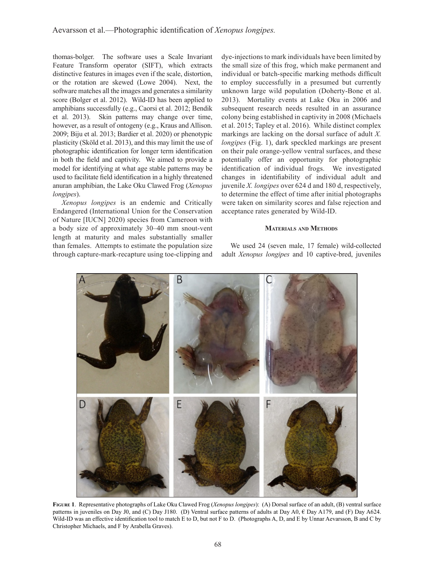thomas-bolger. The software uses a Scale Invariant Feature Transform operator (SIFT), which extracts distinctive features in images even if the scale, distortion, or the rotation are skewed (Lowe 2004). Next, the software matches all the images and generates a similarity score (Bolger et al. 2012). Wild-ID has been applied to amphibians successfully (e.g., Caorsi et al. 2012; Bendik et al. 2013). Skin patterns may change over time, however, as a result of ontogeny (e.g., Kraus and Allison. 2009; Biju et al. 2013; Bardier et al. 2020) or phenotypic plasticity (Sköld et al. 2013), and this may limit the use of photographic identification for longer term identification in both the field and captivity. We aimed to provide a model for identifying at what age stable patterns may be used to facilitate field identification in a highly threatened anuran amphibian, the Lake Oku Clawed Frog (*Xenopus longipes*).

*Xenopus longipes* is an endemic and Critically Endangered (International Union for the Conservation of Nature [IUCN] 2020) species from Cameroon with a body size of approximately 30–40 mm snout-vent length at maturity and males substantially smaller than females. Attempts to estimate the population size through capture-mark-recapture using toe-clipping and dye-injections to mark individuals have been limited by the small size of this frog, which make permanent and individual or batch-specific marking methods difficult to employ successfully in a presumed but currently unknown large wild population (Doherty-Bone et al. 2013). Mortality events at Lake Oku in 2006 and subsequent research needs resulted in an assurance colony being established in captivity in 2008 (Michaels et al. 2015; Tapley et al. 2016). While distinct complex markings are lacking on the dorsal surface of adult *X. longipes* (Fig. 1), dark speckled markings are present on their pale orange-yellow ventral surfaces, and these potentially offer an opportunity for photographic identification of individual frogs. We investigated changes in identifiability of individual adult and juvenile *X. longipes* over 624 d and 180 d, respectively, to determine the effect of time after initial photographs were taken on similarity scores and false rejection and acceptance rates generated by Wild-ID.

#### **Materials and Methods**

We used 24 (seven male, 17 female) wild-collected adult *Xenopus longipes* and 10 captive-bred, juveniles



**Figure 1**. Representative photographs of Lake Oku Clawed Frog (*Xenopus longipes*): (A) Dorsal surface of an adult, (B) ventral surface patterns in juveniles on Day J0, and (C) Day J180. (D) Ventral surface patterns of adults at Day A0, € Day A179, and (F) Day A624. Wild-ID was an effective identification tool to match E to D, but not F to D. (Photographs A, D, and E by Unnar Aevarsson, B and C by Christopher Michaels, and F by Arabella Graves).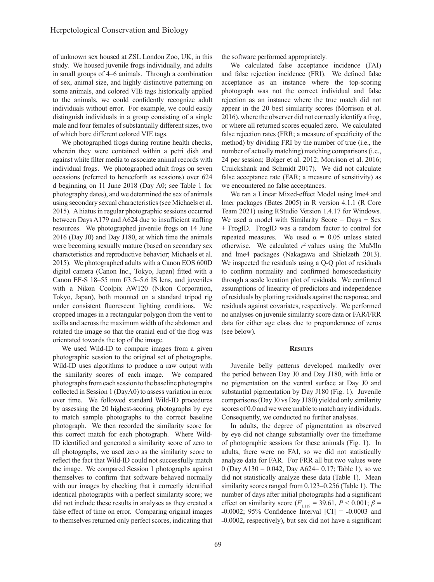of unknown sex housed at ZSL London Zoo, UK, in this study. We housed juvenile frogs individually, and adults in small groups of 4–6 animals. Through a combination of sex, animal size, and highly distinctive patterning on some animals, and colored VIE tags historically applied to the animals, we could confidently recognize adult individuals without error. For example, we could easily distinguish individuals in a group consisting of a single male and four females of substantially different sizes, two of which bore different colored VIE tags.

We photographed frogs during routine health checks, wherein they were contained within a petri dish and against white filter media to associate animal records with individual frogs. We photographed adult frogs on seven occasions (referred to henceforth as sessions) over 624 d beginning on 11 June 2018 (Day A0; see Table 1 for photography dates), and we determined the sex of animals using secondary sexual characteristics (see Michaels et al. 2015). A hiatus in regular photographic sessions occurred between Days A179 and A624 due to insufficient staffing resources. We photographed juvenile frogs on 14 June 2016 (Day J0) and Day J180, at which time the animals were becoming sexually mature (based on secondary sex characteristics and reproductive behavior; Michaels et al. 2015). We photographed adults with a Canon EOS 600D digital camera (Canon Inc., Tokyo, Japan) fitted with a Canon EF-S 18–55 mm f/3.5–5.6 IS lens, and juveniles with a Nikon Coolpix AW120 (Nikon Corporation, Tokyo, Japan), both mounted on a standard tripod rig under consistent fluorescent lighting conditions. We cropped images in a rectangular polygon from the vent to axilla and across the maximum width of the abdomen and rotated the image so that the cranial end of the frog was orientated towards the top of the image.

We used Wild-ID to compare images from a given photographic session to the original set of photographs. Wild-ID uses algorithms to produce a raw output with the similarity scores of each image. We compared photographs from each session to the baseline photographs collected in Session 1 (DayA0) to assess variation in error over time. We followed standard Wild-ID procedures by assessing the 20 highest-scoring photographs by eye to match sample photographs to the correct baseline photograph. We then recorded the similarity score for this correct match for each photograph. Where Wild-ID identified and generated a similarity score of zero to all photographs, we used zero as the similarity score to reflect the fact that Wild-ID could not successfully match the image. We compared Session 1 photographs against themselves to confirm that software behaved normally with our images by checking that it correctly identified identical photographs with a perfect similarity score; we did not include these results in analyses as they created a false effect of time on error. Comparing original images to themselves returned only perfect scores, indicating that

the software performed appropriately.

We calculated false acceptance incidence (FAI) and false rejection incidence (FRI). We defined false acceptance as an instance where the top-scoring photograph was not the correct individual and false rejection as an instance where the true match did not appear in the 20 best similarity scores (Morrison et al. 2016), where the observer did not correctly identify a frog, or where all returned scores equaled zero. We calculated false rejection rates (FRR; a measure of specificity of the method) by dividing FRI by the number of true (i.e., the number of actually matching) matching comparisons (i.e., 24 per session; Bolger et al. 2012; Morrison et al. 2016; Cruickshank and Schmidt 2017). We did not calculate false acceptance rate (FAR; a measure of sensitivity) as we encountered no false acceptances.

We ran a Linear Mixed-effect Model using lme4 and lmer packages (Bates 2005) in R version 4.1.1 (R Core Team 2021) using RStudio Version 1.4.17 for Windows. We used a model with Similarity Score  $=$  Days  $+$  Sex + FrogID. FrogID was a random factor to control for repeated measures. We used  $\alpha = 0.05$  unless stated otherwise. We calculated  $r^2$  values using the MuMIn and lme4 packages (Nakagawa and Shielzeth 2013). We inspected the residuals using a Q-Q plot of residuals to confirm normality and confirmed homoscedasticity through a scale location plot of residuals. We confirmed assumptions of linearity of predictors and independence of residuals by plotting residuals against the response, and residuals against covariates, respectively. We performed no analyses on juvenile similarity score data or FAR/FRR data for either age class due to preponderance of zeros (see below).

#### **Results**

Juvenile belly patterns developed markedly over the period between Day J0 and Day J180, with little or no pigmentation on the ventral surface at Day J0 and substantial pigmentation by Day J180 (Fig. 1). Juvenile comparisons (Day J0 vs Day J180) yielded only similarity scores of 0.0 and we were unable to match any individuals. Consequently, we conducted no further analyses.

In adults, the degree of pigmentation as observed by eye did not change substantially over the timeframe of photographic sessions for these animals (Fig. 1). In adults, there were no FAI, so we did not statistically analyze data for FAR. For FRR all but two values were 0 (Day A130 = 0.042, Day A624= 0.17; Table 1), so we did not statistically analyze these data (Table 1). Mean similarity scores ranged from 0.123–0.256 (Table 1). The number of days after initial photographs had a significant effect on similarity score ( $F_{1,119}$  = 39.61,  $P < 0.001$ ;  $\beta$  =  $-0.0002$ ; 95% Confidence Interval [CI] =  $-0.0003$  and ˗0.0002, respectively), but sex did not have a significant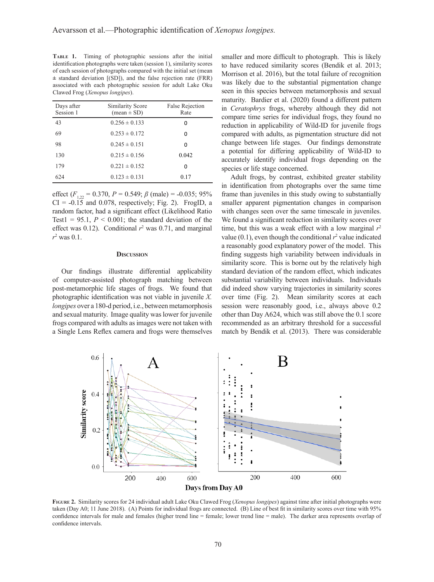**Table 1.** Timing of photographic sessions after the initial identification photographs were taken (session 1), similarity scores of each session of photographs compared with the initial set (mean **±** standard deviation [(SD]), and the false rejection rate (FRR) associated with each photographic session for adult Lake Oku Clawed Frog (*Xenopus longipes*).

| Days after<br>Session 1 | Similarity Score<br>$mean \pm SD$ | <b>False Rejection</b><br>Rate |
|-------------------------|-----------------------------------|--------------------------------|
| 43                      | $0.256 \pm 0.133$                 | 0                              |
| 69                      | $0.253 \pm 0.172$                 | O                              |
| 98                      | $0.245 \pm 0.151$                 | ŋ                              |
| 130                     | $0.215 \pm 0.156$                 | 0.042                          |
| 179                     | $0.221 \pm 0.152$                 | O                              |
| 624                     | $0.123 \pm 0.131$                 | 0.17                           |

effect  $(F_{1,22} = 0.370, P = 0.549; \beta \text{ (male)} = -0.035; 95\%$  $CI = -0.15$  and 0.078, respectively; Fig. 2). FrogID, a random factor, had a significant effect (Likelihood Ratio Test1 =  $95.1$ ,  $P < 0.001$ ; the standard deviation of the effect was 0.12). Conditional  $r^2$  was 0.71, and marginal *r*2 was 0.1.

#### **Discussion**

Our findings illustrate differential applicability of computer-assisted photograph matching between post-metamorphic life stages of frogs. We found that photographic identification was not viable in juvenile *X. longipes* over a 180-d period, i.e., between metamorphosis and sexual maturity. Image quality was lower for juvenile frogs compared with adults as images were not taken with a Single Lens Reflex camera and frogs were themselves smaller and more difficult to photograph. This is likely to have reduced similarity scores (Bendik et al. 2013; Morrison et al. 2016), but the total failure of recognition was likely due to the substantial pigmentation change seen in this species between metamorphosis and sexual maturity. Bardier et al. (2020) found a different pattern in *Ceratophrys* frogs, whereby although they did not compare time series for individual frogs, they found no reduction in applicability of Wild-ID for juvenile frogs compared with adults, as pigmentation structure did not change between life stages. Our findings demonstrate a potential for differing applicability of Wild-ID to accurately identify individual frogs depending on the species or life stage concerned.

Adult frogs, by contrast, exhibited greater stability in identification from photographs over the same time frame than juveniles in this study owing to substantially smaller apparent pigmentation changes in comparison with changes seen over the same timescale in juveniles. We found a significant reduction in similarity scores over time, but this was a weak effect with a low marginal  $r^2$ value  $(0.1)$ , even though the conditional  $r^2$  value indicated a reasonably good explanatory power of the model. This finding suggests high variability between individuals in similarity score. This is borne out by the relatively high standard deviation of the random effect, which indicates substantial variability between individuals. Individuals did indeed show varying trajectories in similarity scores over time (Fig. 2). Mean similarity scores at each session were reasonably good, i.e., always above 0.2 other than Day A624, which was still above the 0.1 score recommended as an arbitrary threshold for a successful match by Bendik et al. (2013). There was considerable



**Figure 2.** Similarity scores for 24 individual adult Lake Oku Clawed Frog (*Xenopus longipes*) against time after initial photographs were taken (Day A0; 11 June 2018). (A) Points for individual frogs are connected. (B) Line of best fit in similarity scores over time with 95% confidence intervals for male and females (higher trend line = female; lower trend line = male). The darker area represents overlap of confidence intervals.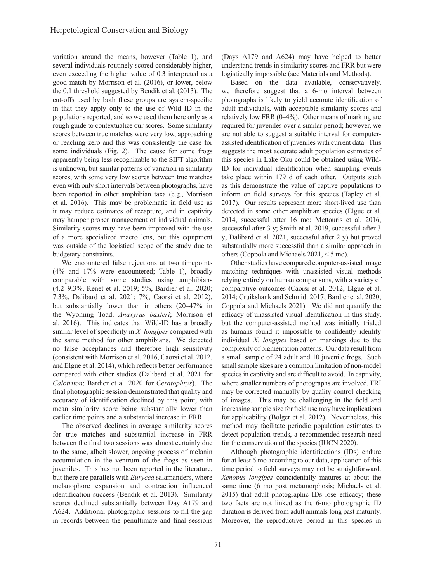variation around the means, however (Table 1), and several individuals routinely scored considerably higher, even exceeding the higher value of 0.3 interpreted as a good match by Morrison et al. (2016), or lower, below the 0.1 threshold suggested by Bendik et al. (2013). The cut-offs used by both these groups are system-specific in that they apply only to the use of Wild ID in the populations reported, and so we used them here only as a rough guide to contextualize our scores. Some similarity scores between true matches were very low, approaching or reaching zero and this was consistently the case for some individuals (Fig. 2). The cause for some frogs apparently being less recognizable to the SIFT algorithm is unknown, but similar patterns of variation in similarity scores, with some very low scores between true matches even with only short intervals between photographs, have been reported in other amphibian taxa (e.g., Morrison et al. 2016). This may be problematic in field use as it may reduce estimates of recapture, and in captivity may hamper proper management of individual animals. Similarity scores may have been improved with the use of a more specialized macro lens, but this equipment was outside of the logistical scope of the study due to budgetary constraints.

We encountered false rejections at two timepoints (4% and 17% were encountered; Table 1), broadly comparable with some studies using amphibians (4.2–9.3%, Renet et al. 2019; 5%, Bardier et al. 2020; 7.3%, Dalibard et al. 2021; 7%, Caorsi et al. 2012), but substantially lower than in others (20–47% in the Wyoming Toad, *Anaxyrus baxteri*; Morrison et al. 2016). This indicates that Wild-ID has a broadly similar level of specificity in *X. longipes* compared with the same method for other amphibians. We detected no false acceptances and therefore high sensitivity (consistent with Morrison et al. 2016, Caorsi et al. 2012, and Elgue et al. 2014), which reflects better performance compared with other studies (Dalibard et al. 2021 for *Calotriton*; Bardier et al. 2020 for *Ceratophrys*). The final photographic session demonstrated that quality and accuracy of identification declined by this point, with mean similarity score being substantially lower than earlier time points and a substantial increase in FRR.

The observed declines in average similarity scores for true matches and substantial increase in FRR between the final two sessions was almost certainly due to the same, albeit slower, ongoing process of melanin accumulation in the ventrum of the frogs as seen in juveniles. This has not been reported in the literature, but there are parallels with *Eurycea* salamanders, where melanophore expansion and contraction influenced identification success (Bendik et al. 2013). Similarity scores declined substantially between Day A179 and A624. Additional photographic sessions to fill the gap in records between the penultimate and final sessions

(Days A179 and A624) may have helped to better understand trends in similarity scores and FRR but were logistically impossible (see Materials and Methods).

Based on the data available, conservatively, we therefore suggest that a 6-mo interval between photographs is likely to yield accurate identification of adult individuals, with acceptable similarity scores and relatively low FRR (0–4%). Other means of marking are required for juveniles over a similar period; however, we are not able to suggest a suitable interval for computerassisted identification of juveniles with current data. This suggests the most accurate adult population estimates of this species in Lake Oku could be obtained using Wild-ID for individual identification when sampling events take place within 179 d of each other. Outputs such as this demonstrate the value of captive populations to inform on field surveys for this species (Tapley et al. 2017). Our results represent more short-lived use than detected in some other amphibian species (Elgue et al. 2014, successful after 16 mo; Mettouris et al. 2016, successful after 3 y; Smith et al. 2019, successful after 3 y; Dalibard et al. 2021, successful after 2 y) but proved substantially more successful than a similar approach in others (Coppola and Michaels 2021, < 5 mo).

Other studies have compared computer-assisted image matching techniques with unassisted visual methods relying entirely on human comparisons, with a variety of comparative outcomes (Caorsi et al. 2012; Elgue et al. 2014; Cruikshank and Schmidt 2017; Bardier et al. 2020; Coppola and Michaels 2021). We did not quantify the efficacy of unassisted visual identification in this study, but the computer-assisted method was initially trialed as humans found it impossible to confidently identify individual *X. longipes* based on markings due to the complexity of pigmentation patterns. Our data result from a small sample of 24 adult and 10 juvenile frogs. Such small sample sizes are a common limitation of non-model species in captivity and are difficult to avoid. In captivity, where smaller numbers of photographs are involved, FRI may be corrected manually by quality control checking of images. This may be challenging in the field and increasing sample size for field use may have implications for applicability (Bolger et al. 2012). Nevertheless, this method may facilitate periodic population estimates to detect population trends, a recommended research need for the conservation of the species (IUCN 2020).

Although photographic identifications (IDs) endure for at least 6 mo according to our data, application of this time period to field surveys may not be straightforward. *Xenopus longipes* coincidentally matures at about the same time (6 mo post metamorphosis; Michaels et al. 2015) that adult photographic IDs lose efficacy; these two facts are not linked as the 6-mo photographic ID duration is derived from adult animals long past maturity. Moreover, the reproductive period in this species in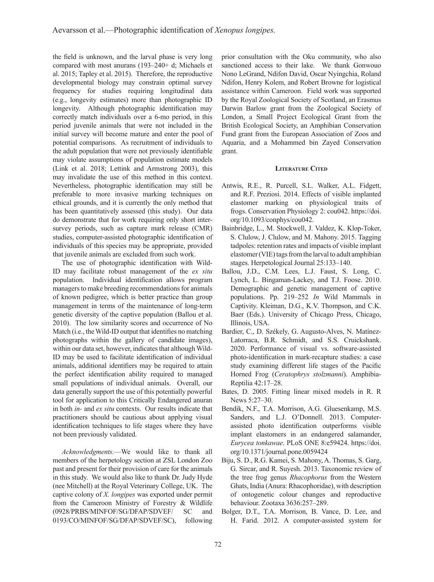the field is unknown, and the larval phase is very long compared with most anurans (193–240+ d; Michaels et al. 2015; Tapley et al. 2015). Therefore, the reproductive developmental biology may constrain optimal survey frequency for studies requiring longitudinal data (e.g., longevity estimates) more than photographic ID longevity. Although photographic identification may correctly match individuals over a 6-mo period, in this period juvenile animals that were not included in the initial survey will become mature and enter the pool of potential comparisons. As recruitment of individuals to the adult population that were not previously identifiable may violate assumptions of population estimate models (Link et al. 2018; Lettink and Armstrong 2003), this may invalidate the use of this method in this context. Nevertheless, photographic identification may still be preferable to more invasive marking techniques on ethical grounds, and it is currently the only method that has been quantitatively assessed (this study). Our data do demonstrate that for work requiring only short intersurvey periods, such as capture mark release (CMR) studies, computer-assisted photographic identification of individuals of this species may be appropriate, provided that juvenile animals are excluded from such work.

The use of photographic identification with Wild-ID may facilitate robust management of the *ex situ* population. Individual identification allows program managers to make breeding recommendations for animals of known pedigree, which is better practice than group management in terms of the maintenance of long-term genetic diversity of the captive population (Ballou et al. 2010). The low similarity scores and occurrence of No Match (i.e., the Wild-ID output that identifies no matching photographs within the gallery of candidate images), within our data set, however, indicates that although Wild-ID may be used to facilitate identification of individual animals, additional identifiers may be required to attain the perfect identification ability required to managed small populations of individual animals. Overall, our data generally support the use of this potentially powerful tool for application to this Critically Endangered anuran in both *in-* and *ex situ* contexts. Our results indicate that practitioners should be cautious about applying visual identification techniques to life stages where they have not been previously validated.

*Acknowledgments.*—We would like to thank all members of the herpetology section at ZSL London Zoo past and present for their provision of care for the animals in this study. We would also like to thank Dr. Judy Hyde (nee Mitchell) at the Royal Veterinary College, UK. The captive colony of *X. longipes* was exported under permit from the Cameroon Ministry of Forestry & Wildlife (0928/PRBS/MINFOF/SG/DFAP/SDVEF/ SC and 0193/CO/MINFOF/SG/DFAP/SDVEF/SC), following

prior consultation with the Oku community, who also sanctioned access to their lake. We thank Gonwouo Nono LeGrand, Ndifon David, Oscar Nyingchia, Roland Ndifon, Henry Kolem, and Robert Browne for logistical assistance within Cameroon. Field work was supported by the Royal Zoological Society of Scotland, an Erasmus Darwin Barlow grant from the Zoological Society of London, a Small Project Ecological Grant from the British Ecological Society, an Amphibian Conservation Fund grant from the European Association of Zoos and Aquaria, and a Mohammed bin Zayed Conservation grant.

### **Literature Cited**

- Antwis, R.E., R. Purcell, S.L. Walker, A.L. Fidgett, and R.F. Preziosi. 2014. Effects of visible implanted elastomer marking on physiological traits of frogs. Conservation Physiology 2: cou042. https://doi. org/10.1093/conphys/cou042.
- Bainbridge, L., M. Stockwell, J. Valdez, K. Klop-Toker, S. Clulow, J. Clulow, and M. Mahony. 2015. Tagging tadpoles: retention rates and impacts of visible implant elastomer (VIE) tags from the larval to adult amphibian stages. Herpetological Journal 25:133–140.
- Ballou, J.D., C.M. Lees, L.J. Faust, S. Long, C. Lynch, L. Bingaman-Lackey, and T.J. Foose. 2010. Demographic and genetic management of captive populations. Pp. 219–252 *In* Wild Mammals in Captivity. Kleiman, D.G., K.V. Thompson, and C.K. Baer (Eds.). University of Chicago Press, Chicago, Illinois, USA.
- Bardier, C., D. Székely, G. Augusto-Alves, N. Matínez-Latorraca, B.R. Schmidt, and S.S. Cruickshank. 2020. Performance of visual vs. software-assisted photo-identification in mark-recapture studies: a case study examining different life stages of the Pacific Horned Frog (*Ceratophrys stolzmanni*). Amphibia-Reptilia 42:17–28.
- Bates, D. 2005. Fitting linear mixed models in R. R News 5:27–30.
- Bendik, N.F., T.A. Morrison, A.G. Gluesenkamp, M.S. Sanders, and L.J. O'Donnell. 2013. Computerassisted photo identification outperforms visible implant elastomers in an endangered salamander, *Eurycea tonkawae*. PLoS ONE 8:e59424. https://doi. org/10.1371/journal.pone.0059424
- Biju, S. D., R.G. Kamei, S. Mahony, A. Thomas, S. Garg, G. Sircar, and R. Suyesh. 2013. Taxonomic review of the tree frog genus *Rhacophorus* from the Western Ghats, India (Anura: Rhacophoridae), with description of ontogenetic colour changes and reproductive behaviour. Zootaxa 3636:257–289.
- Bolger, D.T., T.A. Morrison, B. Vance, D. Lee, and H. Farid. 2012. A computer-assisted system for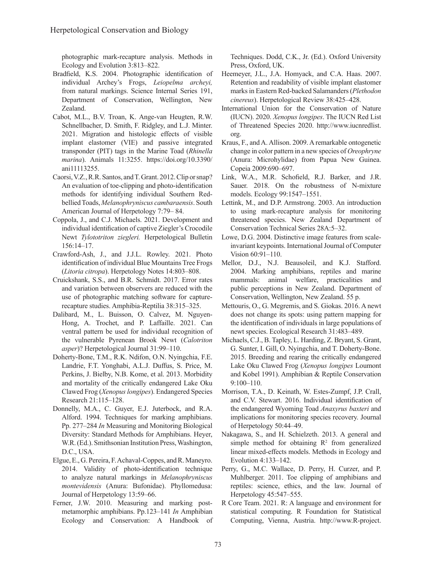photographic mark-recapture analysis. Methods in Ecology and Evolution 3:813–822.

- Bradfield, K.S. 2004. Photographic identification of individual Archey's Frogs, *Leiopelma archeyi,* from natural markings. Science Internal Series 191, Department of Conservation, Wellington, New Zealand.
- Cabot, M.L., B.V. Troan, K. Ange-van Heugten, R.W. Schnellbacher, D. Smith, F. Ridgley, and L.J. Minter. 2021. Migration and histologic effects of visible implant elastomer (VIE) and passive integrated transponder (PIT) tags in the Marine Toad (*Rhinella marina*). Animals 11:3255. https://doi.org/10.3390/ ani11113255.
- Caorsi, V.Z., R.R. Santos, and T. Grant. 2012. Clip or snap? An evaluation of toe-clipping and photo-identification methods for identifying individual Southern Redbellied Toads, *Melanophryniscus cambaraensis*. South American Journal of Herpetology 7:79– 84.
- Coppola, J., and C.J. Michaels. 2021. Development and individual identification of captive Ziegler's Crocodile Newt *Tylototriton ziegleri.* Herpetological Bulletin 156:14–17.
- Crawford-Ash, J., and J.J.L. Rowley. 2021. Photo identification of individual Blue Mountains Tree Frogs (*Litoria citropa*). Herpetology Notes 14:803–808.
- Cruickshank, S.S., and B.R. Schmidt. 2017. Error rates and variation between observers are reduced with the use of photographic matching software for capturerecapture studies. Amphibia-Reptilia 38:315–325.
- Dalibard, M., L. Buisson, O. Calvez, M. Nguyen-Hong, A. Trochet, and P. Laffaille. 2021. Can ventral pattern be used for individual recognition of the vulnerable Pyrenean Brook Newt (*Calotriton asper*)? Herpetological Journal 31:99–110.
- Doherty-Bone, T.M., R.K. Ndifon, O.N. Nyingchia, F.E. Landrie, F.T. Yonghabi, A.L.J. Duffus, S. Price, M. Perkins, J. Bielby, N.B. Kome, et al. 2013. Morbidity and mortality of the critically endangered Lake Oku Clawed Frog (*Xenopus longipes*). Endangered Species Research 21:115–128.
- Donnelly, M.A., C. Guyer, E.J. Juterbock, and R.A. Alford. 1994. Techniques for marking amphibians. Pp. 277–284 *In* Measuring and Monitoring Biological Diversity: Standard Methods for Amphibians. Heyer, W.R. (Ed.). Smithsonian Institution Press, Washington, D.C., USA.
- Elgue, E., G. Pereira, F. Achaval-Coppes, and R. Maneyro. 2014. Validity of photo-identification technique to analyze natural markings in *Melanophryniscus montevidensis* (Anura: Bufonidae). Phyllomedusa: Journal of Herpetology 13:59–66.
- Ferner, J.W. 2010. Measuring and marking postmetamorphic amphibians. Pp.123–141 *In* Amphibian Ecology and Conservation: A Handbook of

Techniques. Dodd, C.K., Jr. (Ed.). Oxford University Press, Oxford, UK.

- Heemeyer, J.L., J.A. Homyack, and C.A. Haas. 2007. Retention and readability of visible implant elastomer marks in Eastern Red-backed Salamanders (*Plethodon cinereus*). Herpetological Review 38:425–428.
- International Union for the Conservation of Nature (IUCN). 2020. *Xenopus longipes*. The IUCN Red List of Threatened Species 2020. http://www.iucnredlist. org.
- Kraus, F., and A. Allison. 2009. A remarkable ontogenetic change in color pattern in a new species of *Oreophryne* (Anura: Microhylidae) from Papua New Guinea. Copeia 2009:690–697.
- Link, W.A., M.R. Schofield, R.J. Barker, and J.R. Sauer. 2018. On the robustness of N-mixture models. Ecology 99:1547–1551.
- Lettink, M., and D.P. Armstrong. 2003. An introduction to using mark-recapture analysis for monitoring threatened species. New Zealand Department of Conservation Technical Series 28A:5–32.
- Lowe, D.G. 2004. Distinctive image features from scaleinvariant keypoints. International Journal of Computer Vision 60:91–110.
- Mellor, D.J., N.J. Beausoleil, and K.J. Stafford. 2004. Marking amphibians, reptiles and marine mammals: animal welfare, practicalities and public perceptions in New Zealand. Department of Conservation, Wellington, New Zealand. 55 p.
- Mettouris, O., G. Megremis, and S. Giokas. 2016. A newt does not change its spots: using pattern mapping for the identification of individuals in large populations of newt species. Ecological Research 31:483–489.
- Michaels, C.J., B. Tapley, L. Harding, Z. Bryant, S. Grant, G. Sunter, I. Gill, O. Nyingchia, and T. Doherty-Bone. 2015. Breeding and rearing the critically endangered Lake Oku Clawed Frog (*Xenopus longipes* Loumont and Kobel 1991). Amphibian & Reptile Conservation 9:100–110.
- Morrison, T.A., D. Keinath, W. Estes-Zumpf, J.P. Crall, and C.V. Stewart. 2016. Individual identification of the endangered Wyoming Toad *Anaxyrus baxteri* and implications for monitoring species recovery. Journal of Herpetology 50:44–49.
- Nakagawa, S., and H. Schielzeth. 2013. A general and simple method for obtaining  $\mathbb{R}^2$  from generalized linear mixed-effects models. Methods in Ecology and Evolution 4:133–142.
- Perry, G., M.C. Wallace, D. Perry, H. Curzer, and P. Muhlberger. 2011. Toe clipping of amphibians and reptiles: science, ethics, and the law. Journal of Herpetology 45:547–555.
- R Core Team. 2021. R: A language and environment for statistical computing. R Foundation for Statistical Computing, Vienna, Austria. http://www.R-project.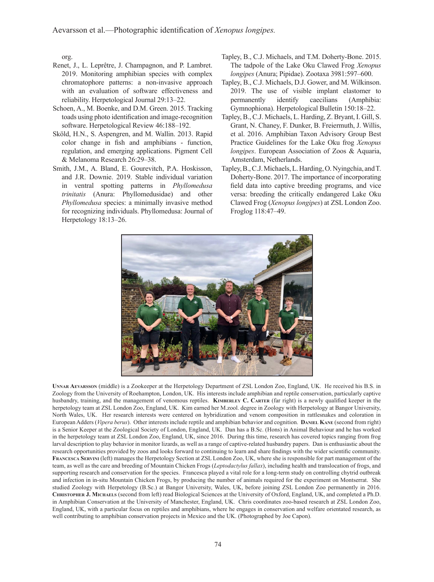org.

- Renet, J., L. Leprêtre, J. Champagnon, and P. Lambret. 2019. Monitoring amphibian species with complex chromatophore patterns: a non-invasive approach with an evaluation of software effectiveness and reliability. Herpetological Journal 29:13–22.
- Schoen, A., M. Boenke, and D.M. Green. 2015. Tracking toads using photo identification and image-recognition software. Herpetological Review 46:188–192.
- Sköld, H.N., S. Aspengren, and M. Wallin. 2013. Rapid color change in fish and amphibians - function, regulation, and emerging applications. Pigment Cell & Melanoma Research 26:29–38.
- Smith, J.M., A. Bland, E. Gourevitch, P.A. Hoskisson, and J.R. Downie. 2019. Stable individual variation in ventral spotting patterns in *Phyllomedusa trinitatis* (Anura: Phyllomedusidae) and other *Phyllomedusa* species: a minimally invasive method for recognizing individuals. Phyllomedusa: Journal of Herpetology 18:13–26.
- Tapley, B., C.J. Michaels, and T.M. Doherty-Bone. 2015. The tadpole of the Lake Oku Clawed Frog *Xenopus longipes* (Anura; Pipidae). Zootaxa 3981:597–600.
- Tapley, B., C.J. Michaels, D.J. Gower, and M. Wilkinson. 2019. The use of visible implant elastomer to permanently identify caecilians (Amphibia: Gymnophiona). Herpetological Bulletin 150:18–22.
- Tapley, B., C.J. Michaels, L. Harding, Z. Bryant, I. Gill, S. Grant, N. Chaney, F. Dunker, B. Freiermuth, J. Willis, et al. 2016. Amphibian Taxon Advisory Group Best Practice Guidelines for the Lake Oku frog *Xenopus longipes*. European Association of Zoos & Aquaria, Amsterdam, Netherlands.
- Tapley, B., C.J. Michaels, L. Harding, O. Nyingchia, and T. Doherty-Bone. 2017. The importance of incorporating field data into captive breeding programs, and vice versa: breeding the critically endangered Lake Oku Clawed Frog (*Xenopus longipes*) at ZSL London Zoo. Froglog 118:47–49.



**Unnar Aevarsson** (middle) is a Zookeeper at the Herpetology Department of ZSL London Zoo, England, UK. He received his B.S. in Zoology from the University of Roehampton, London, UK. His interests include amphibian and reptile conservation, particularly captive husbandry, training, and the management of venomous reptiles. **KIMBERLEY C. CARTER** (far right) is a newly qualified keeper in the herpetology team at ZSL London Zoo, England, UK. Kim earned her M.zool. degree in Zoology with Herpetology at Bangor University, North Wales, UK. Her research interests were centered on hybridization and venom composition in rattlesnakes and coloration in European Adders (*Vipera berus*). Other interests include reptile and amphibian behavior and cognition. **Daniel Kane** (second from right) is a Senior Keeper at the Zoological Society of London, England, UK. Dan has a B.Sc. (Hons) in Animal Behaviour and he has worked in the herpetology team at ZSL London Zoo, England, UK, since 2016. During this time, research has covered topics ranging from frog larval description to play behavior in monitor lizards, as well as a range of captive-related husbandry papers. Dan is enthusiastic about the research opportunities provided by zoos and looks forward to continuing to learn and share findings with the wider scientific community. **Francesca Servini** (left) manages the Herpetology Section at ZSL London Zoo, UK, where she is responsible for part management of the team, as well as the care and breeding of Mountain Chicken Frogs (*Leptodactylus fallax*), including health and translocation of frogs, and supporting research and conservation for the species. Francesca played a vital role for a long-term study on controlling chytrid outbreak and infection in in-situ Mountain Chicken Frogs, by producing the number of animals required for the experiment on Montserrat. She studied Zoology with Herpetology (B.Sc.) at Bangor University, Wales, UK, before joining ZSL London Zoo permanently in 2016. **Christopher J. Michaels** (second from left) read Biological Sciences at the University of Oxford, England, UK, and completed a Ph.D. in Amphibian Conservation at the University of Manchester, England, UK. Chris coordinates zoo-based research at ZSL London Zoo, England, UK, with a particular focus on reptiles and amphibians, where he engages in conservation and welfare orientated research, as well contributing to amphibian conservation projects in Mexico and the UK. (Photographed by Joe Capon).